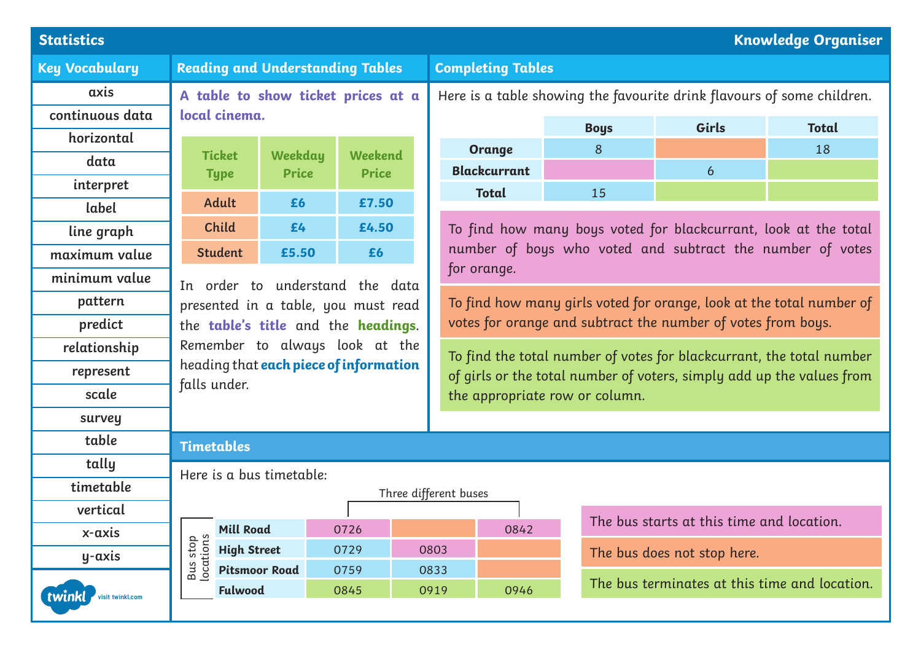| <b>Statistics</b><br><b>Knowledge Organiser</b> |                                                                                                                 |                         |                                |  |                                                                        |                                                                                                                              |    |  |                             |                                               |  |  |
|-------------------------------------------------|-----------------------------------------------------------------------------------------------------------------|-------------------------|--------------------------------|--|------------------------------------------------------------------------|------------------------------------------------------------------------------------------------------------------------------|----|--|-----------------------------|-----------------------------------------------|--|--|
| <b>Key Vocabulary</b>                           | <b>Reading and Understanding Tables</b>                                                                         |                         |                                |  | <b>Completing Tables</b>                                               |                                                                                                                              |    |  |                             |                                               |  |  |
| axis                                            | A table to show ticket prices at a                                                                              |                         |                                |  | Here is a table showing the favourite drink flavours of some children. |                                                                                                                              |    |  |                             |                                               |  |  |
| continuous data                                 | local cinema.                                                                                                   |                         |                                |  | Girls<br><b>Boys</b><br><b>Total</b>                                   |                                                                                                                              |    |  |                             |                                               |  |  |
| horizontal                                      |                                                                                                                 |                         |                                |  |                                                                        | <b>Orange</b>                                                                                                                | 8  |  |                             | 18                                            |  |  |
| data                                            | <b>Ticket</b>                                                                                                   | Weekday<br><b>Price</b> | Weekend<br><b>Price</b>        |  |                                                                        | <b>Blackcurrant</b>                                                                                                          |    |  | $\boldsymbol{6}$            |                                               |  |  |
| interpret                                       | <b>Type</b>                                                                                                     |                         |                                |  |                                                                        | <b>Total</b>                                                                                                                 | 15 |  |                             |                                               |  |  |
| label                                           | <b>Adult</b>                                                                                                    | £6                      | £7.50                          |  |                                                                        |                                                                                                                              |    |  |                             |                                               |  |  |
| line graph                                      | Child                                                                                                           | £4                      | £4.50                          |  |                                                                        | To find how many boys voted for blackcurrant, look at the total<br>number of boys who voted and subtract the number of votes |    |  |                             |                                               |  |  |
| maximum value                                   | <b>Student</b>                                                                                                  | £5.50                   | £6                             |  |                                                                        |                                                                                                                              |    |  |                             |                                               |  |  |
| minimum value                                   | for orange.<br>In order to understand the data                                                                  |                         |                                |  |                                                                        |                                                                                                                              |    |  |                             |                                               |  |  |
| pattern                                         | presented in a table, you must read                                                                             |                         |                                |  |                                                                        | To find how many girls voted for orange, look at the total number of                                                         |    |  |                             |                                               |  |  |
| predict                                         | the table's title and the headings.<br>Remember to always look at the<br>heading that each piece of information |                         |                                |  | votes for orange and subtract the number of votes from boys.           |                                                                                                                              |    |  |                             |                                               |  |  |
| relationship                                    |                                                                                                                 |                         |                                |  |                                                                        | To find the total number of votes for blackcurrant, the total number                                                         |    |  |                             |                                               |  |  |
| represent                                       |                                                                                                                 |                         |                                |  | of girls or the total number of voters, simply add up the values from  |                                                                                                                              |    |  |                             |                                               |  |  |
| scale                                           | falls under.                                                                                                    |                         | the appropriate row or column. |  |                                                                        |                                                                                                                              |    |  |                             |                                               |  |  |
| survey                                          |                                                                                                                 |                         |                                |  |                                                                        |                                                                                                                              |    |  |                             |                                               |  |  |
| table                                           | <b>Timetables</b>                                                                                               |                         |                                |  |                                                                        |                                                                                                                              |    |  |                             |                                               |  |  |
| tally                                           | Here is a bus timetable:                                                                                        |                         |                                |  |                                                                        |                                                                                                                              |    |  |                             |                                               |  |  |
| timetable                                       | Three different buses                                                                                           |                         |                                |  |                                                                        |                                                                                                                              |    |  |                             |                                               |  |  |
| vertical                                        |                                                                                                                 |                         |                                |  | The bus starts at this time and location.                              |                                                                                                                              |    |  |                             |                                               |  |  |
| x-axis                                          | <b>Mill Road</b>                                                                                                |                         | 0726                           |  |                                                                        | 0842                                                                                                                         |    |  |                             |                                               |  |  |
| y-axis                                          | Bus stop<br>locations<br><b>High Street</b>                                                                     |                         | 0729                           |  | 0803                                                                   |                                                                                                                              |    |  | The bus does not stop here. |                                               |  |  |
|                                                 |                                                                                                                 | <b>Pitsmoor Road</b>    | 0759                           |  | 0833                                                                   |                                                                                                                              |    |  |                             | The bus terminates at this time and location. |  |  |
| twinkl)<br>visit twinkl.com                     | <b>Fulwood</b>                                                                                                  |                         | 0845                           |  | 0919                                                                   | 0946                                                                                                                         |    |  |                             |                                               |  |  |
|                                                 |                                                                                                                 |                         |                                |  |                                                                        |                                                                                                                              |    |  |                             |                                               |  |  |